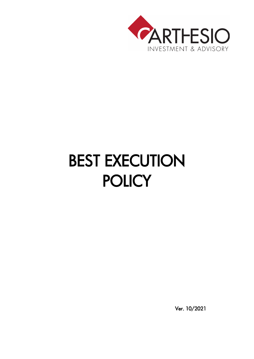

# BEST EXECUTION **POLICY**

Ver. 10/2021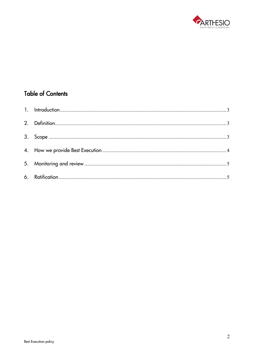

# **Table of Contents**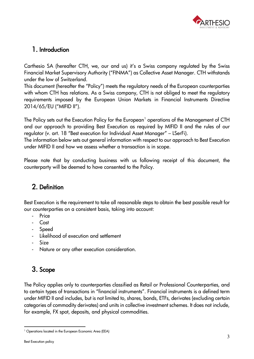

#### <span id="page-2-0"></span>1. Introduction

Carthesio SA (hereafter CTH, we, our and us) it's a Swiss company regulated by the Swiss Financial Market Supervisory Authority ("FINMA") as Collective Asset Manager. CTH withstands under the low of Switzerland.

This document (hereafter the "Policy") meets the regulatory needs of the European counterparties with whom CTH has relations. As a Swiss company, CTH is not obliged to meet the regulatory requirements imposed by the European Union Markets in Financial Instruments Directive 2014/65/EU ("MIFID II").

The Policy sets out the Execution Policy for the European<sup>[1](#page-2-3)</sup> operations of the Management of CTH and our approach to providing Best Execution as required by MIFID II and the rules of our regulator (v. art. 18 "Best execution for Individual Asset Manager" – LSerFi).

The information below sets out general information with respect to our approach to Best Execution under MIFID II and how we assess whether a transaction is in scope.

Please note that by conducting business with us following receipt of this document, the counterparty will be deemed to have consented to the Policy.

## <span id="page-2-1"></span>2. Definition

Best Execution is the requirement to take all reasonable steps to obtain the best possible result for our counterparties on a consistent basis, taking into account:

- **Price**
- Cost
- Speed
- Likelihood of execution and settlement
- **Size**
- Nature or any other execution consideration.

# <span id="page-2-2"></span>3. Scope

The Policy applies only to counterparties classified as Retail or Professional Counterparties, and to certain types of transactions in "financial instruments". Financial instruments is a defined term under MIFID II and includes, but is not limited to, shares, bonds, ETFs, derivates (excluding certain categories of commodity derivates) and units in collective investment schemes. It does not include, for example, FX spot, deposits, and physical commodities.

<span id="page-2-3"></span><sup>&</sup>lt;sup>1</sup> Operations located in the European Economic Area (EEA)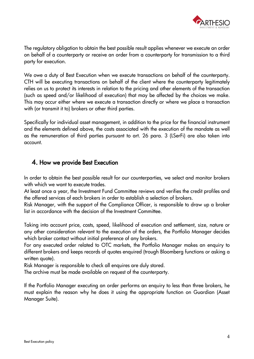

The regulatory obligation to obtain the best possible result applies whenever we execute an order on behalf of a counterparty or receive an order from a counterparty for transmission to a third party for execution.

We owe a duty of Best Execution when we execute transactions on behalf of the counterparty. CTH will be executing transactions on behalf of the client where the counterparty legitimately relies on us to protect its interests in relation to the pricing and other elements of the transaction (such as speed and/or likelihood of execution) that may be affected by the choices we make. This may occur either where we execute a transaction directly or where we place a transaction with (or transmit it to) brokers or other third parties.

Specifically for individual asset management, in addition to the price for the financial instrument and the elements defined above, the costs associated with the execution of the mandate as well as the remuneration of third parties pursuant to art. 26 para. 3 (LSerFi) are also taken into account.

#### <span id="page-3-0"></span>4. How we provide Best Execution

In order to obtain the best possible result for our counterparties, we select and monitor brokers with which we want to execute trades.

At least once a year, the Investment Fund Committee reviews and verifies the credit profiles and the offered services of each brokers in order to establish a selection of brokers.

Risk Manager, with the support of the Compliance Officer, is responsible to draw up a broker list in accordance with the decision of the Investment Committee.

Taking into account price, costs, speed, likelihood of execution and settlement, size, nature or any other consideration relevant to the execution of the orders, the Portfolio Manager decides which broker contact without initial preference of any brokers.

For any executed order related to OTC markets, the Portfolio Manager makes an enquiry to different brokers and keeps records of quotes enquired (trough Bloomberg functions or asking a written quote).

Risk Manager is responsible to check all enquires are duly stored.

The archive must be made available on request of the counterparty.

If the Portfolio Manager executing an order performs an enquiry to less than three brokers, he must explain the reason why he does it using the appropriate function on Guardian (Asset Manager Suite).